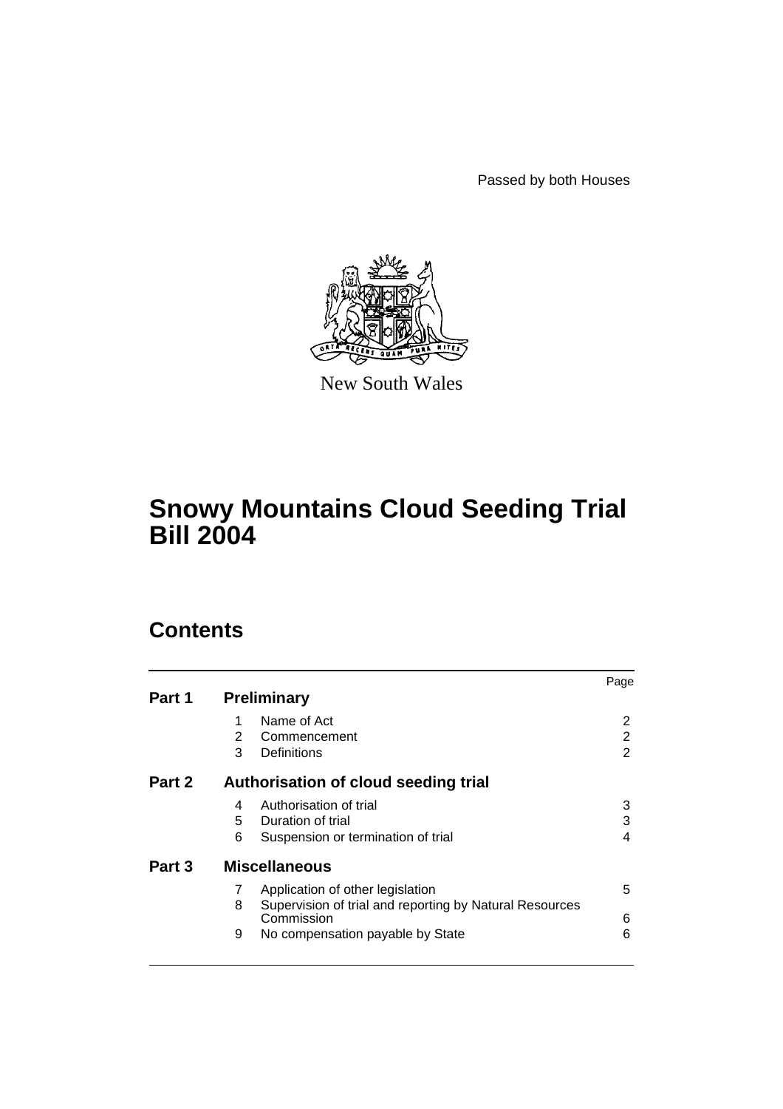Passed by both Houses



New South Wales

# **Snowy Mountains Cloud Seeding Trial Bill 2004**

# **Contents**

|        |                                      |                                                         | Page |
|--------|--------------------------------------|---------------------------------------------------------|------|
| Part 1 | <b>Preliminary</b>                   |                                                         |      |
|        | 1                                    | Name of Act                                             | 2    |
|        | 2                                    | Commencement                                            | 2    |
|        | 3                                    | Definitions                                             | 2    |
| Part 2 | Authorisation of cloud seeding trial |                                                         |      |
|        | 4                                    | Authorisation of trial                                  | 3    |
|        | 5.                                   | Duration of trial                                       | 3    |
|        | 6                                    | Suspension or termination of trial                      | 4    |
| Part 3 | <b>Miscellaneous</b>                 |                                                         |      |
|        | 7                                    | Application of other legislation                        | 5    |
|        | 8                                    | Supervision of trial and reporting by Natural Resources |      |
|        |                                      | Commission                                              | 6    |
|        | 9                                    | No compensation payable by State                        | 6    |
|        |                                      |                                                         |      |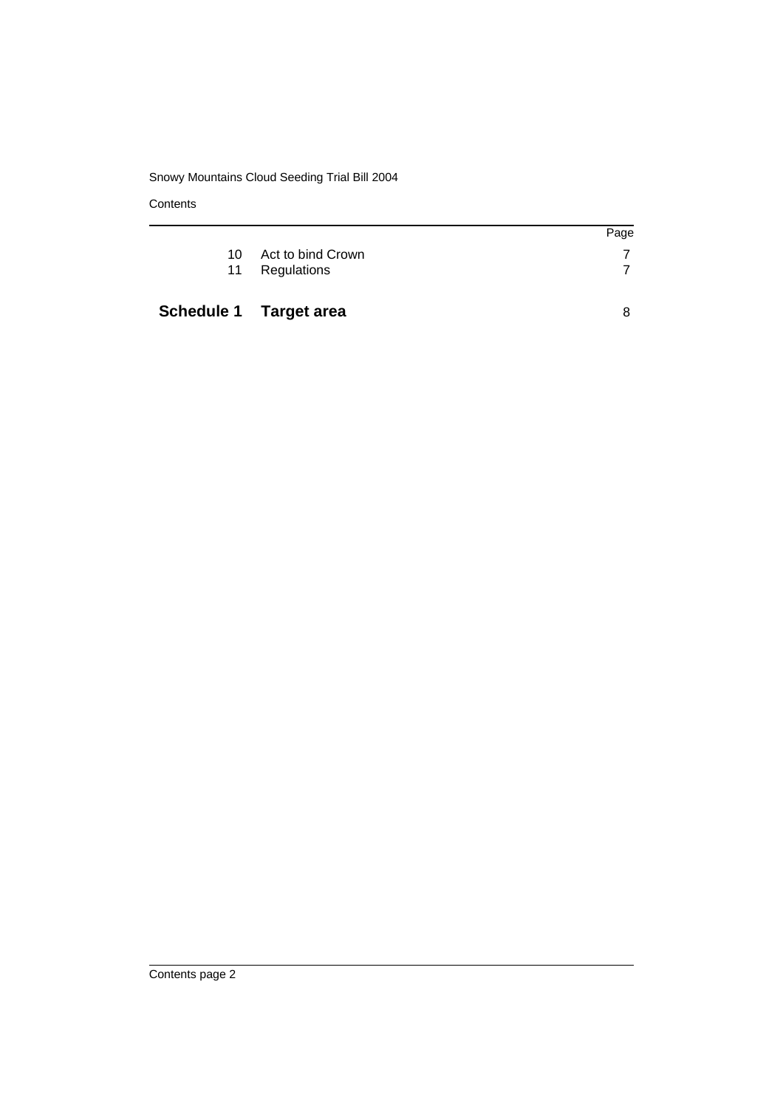## Snowy Mountains Cloud Seeding Trial Bill 2004

**Contents** 

| Page<br>10 Act to bind Crown | Schedule 1 Target area |  |
|------------------------------|------------------------|--|
|                              | 11 Regulations         |  |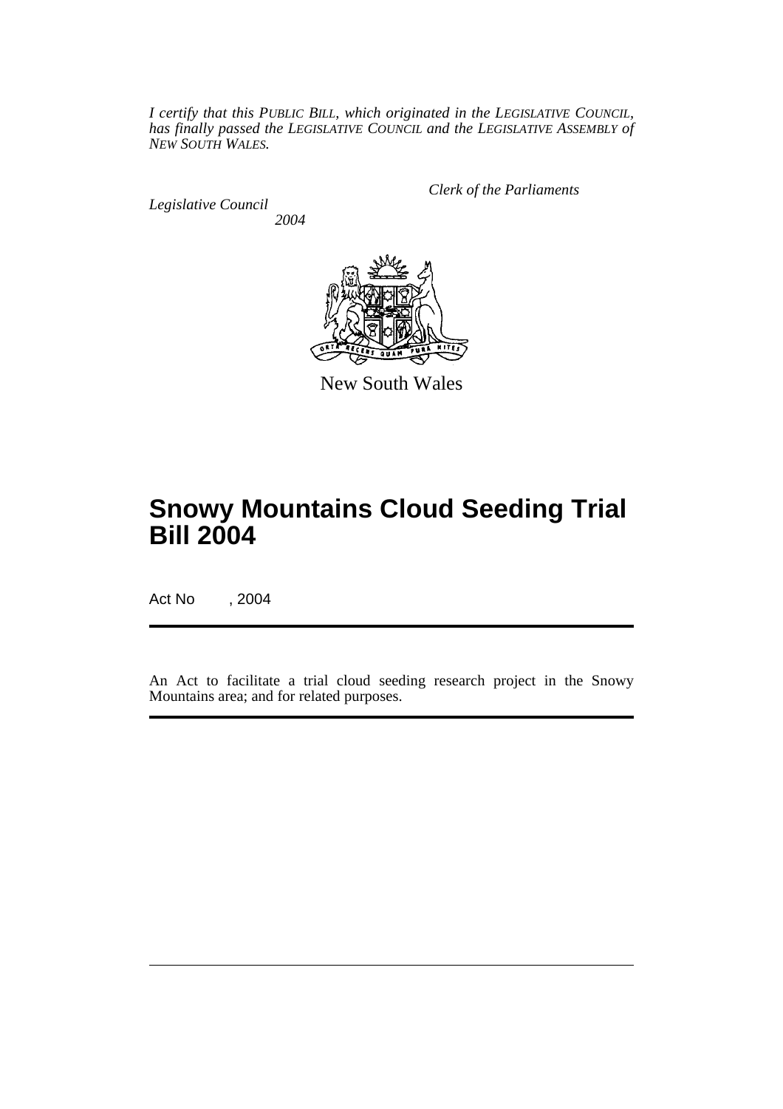*I certify that this PUBLIC BILL, which originated in the LEGISLATIVE COUNCIL, has finally passed the LEGISLATIVE COUNCIL and the LEGISLATIVE ASSEMBLY of NEW SOUTH WALES.*

*Legislative Council 2004* *Clerk of the Parliaments*



New South Wales

# **Snowy Mountains Cloud Seeding Trial Bill 2004**

Act No , 2004

An Act to facilitate a trial cloud seeding research project in the Snowy Mountains area; and for related purposes.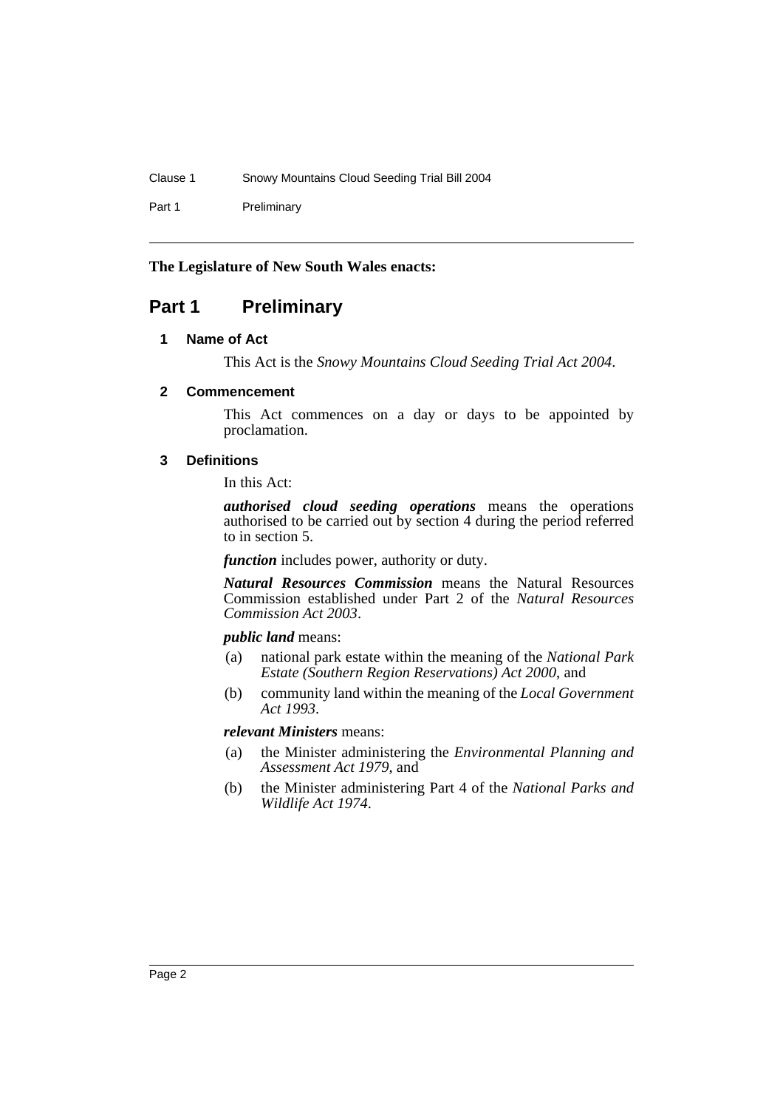Clause 1 Snowy Mountains Cloud Seeding Trial Bill 2004

Part 1 Preliminary

## **The Legislature of New South Wales enacts:**

# **Part 1 Preliminary**

## **1 Name of Act**

This Act is the *Snowy Mountains Cloud Seeding Trial Act 2004*.

## **2 Commencement**

This Act commences on a day or days to be appointed by proclamation.

## **3 Definitions**

In this Act:

*authorised cloud seeding operations* means the operations authorised to be carried out by section 4 during the period referred to in section 5.

*function* includes power, authority or duty.

*Natural Resources Commission* means the Natural Resources Commission established under Part 2 of the *Natural Resources Commission Act 2003*.

### *public land* means:

- (a) national park estate within the meaning of the *National Park Estate (Southern Region Reservations) Act 2000*, and
- (b) community land within the meaning of the *Local Government Act 1993*.

## *relevant Ministers* means:

- (a) the Minister administering the *Environmental Planning and Assessment Act 1979*, and
- (b) the Minister administering Part 4 of the *National Parks and Wildlife Act 1974*.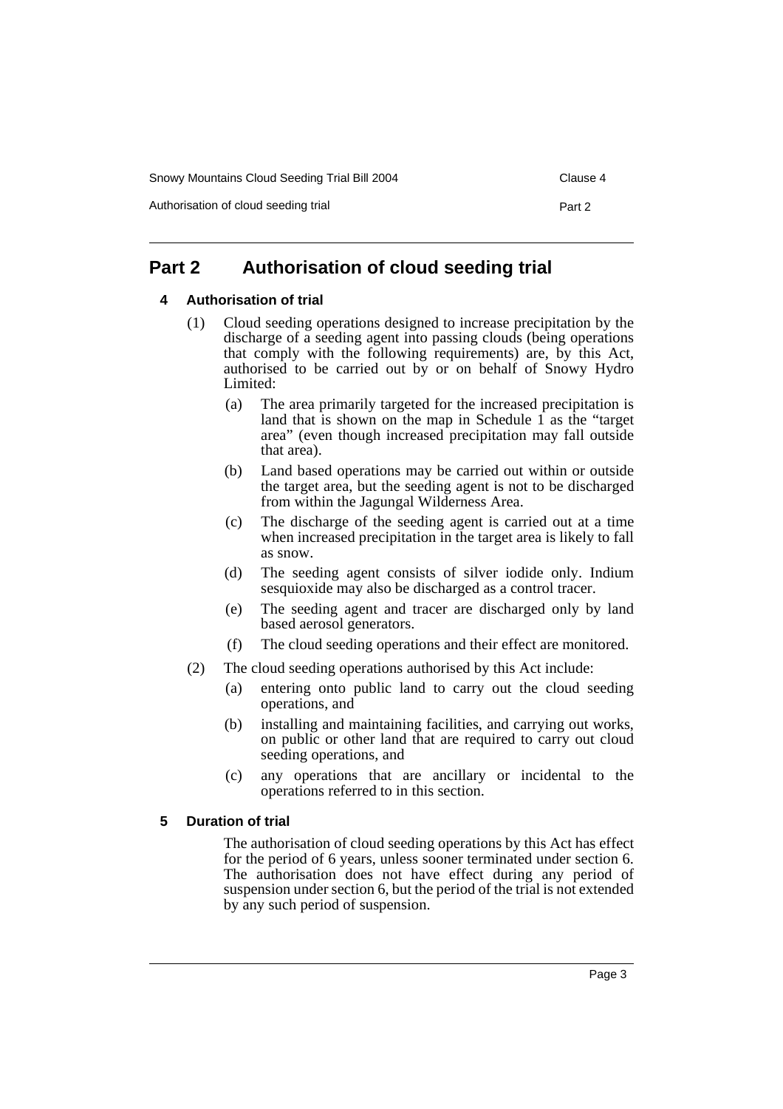Snowy Mountains Cloud Seeding Trial Bill 2004 Clause 4

Authorisation of cloud seeding trial **Part 2** Part 2

# **Part 2 Authorisation of cloud seeding trial**

### **4 Authorisation of trial**

- (1) Cloud seeding operations designed to increase precipitation by the discharge of a seeding agent into passing clouds (being operations that comply with the following requirements) are, by this Act, authorised to be carried out by or on behalf of Snowy Hydro Limited:
	- (a) The area primarily targeted for the increased precipitation is land that is shown on the map in Schedule  $\hat{1}$  as the "target" area" (even though increased precipitation may fall outside that area).
	- (b) Land based operations may be carried out within or outside the target area, but the seeding agent is not to be discharged from within the Jagungal Wilderness Area.
	- (c) The discharge of the seeding agent is carried out at a time when increased precipitation in the target area is likely to fall as snow.
	- (d) The seeding agent consists of silver iodide only. Indium sesquioxide may also be discharged as a control tracer.
	- (e) The seeding agent and tracer are discharged only by land based aerosol generators.
	- (f) The cloud seeding operations and their effect are monitored.
- (2) The cloud seeding operations authorised by this Act include:
	- (a) entering onto public land to carry out the cloud seeding operations, and
	- (b) installing and maintaining facilities, and carrying out works, on public or other land that are required to carry out cloud seeding operations, and
	- (c) any operations that are ancillary or incidental to the operations referred to in this section.

### **5 Duration of trial**

The authorisation of cloud seeding operations by this Act has effect for the period of 6 years, unless sooner terminated under section 6. The authorisation does not have effect during any period of suspension under section 6, but the period of the trial is not extended by any such period of suspension.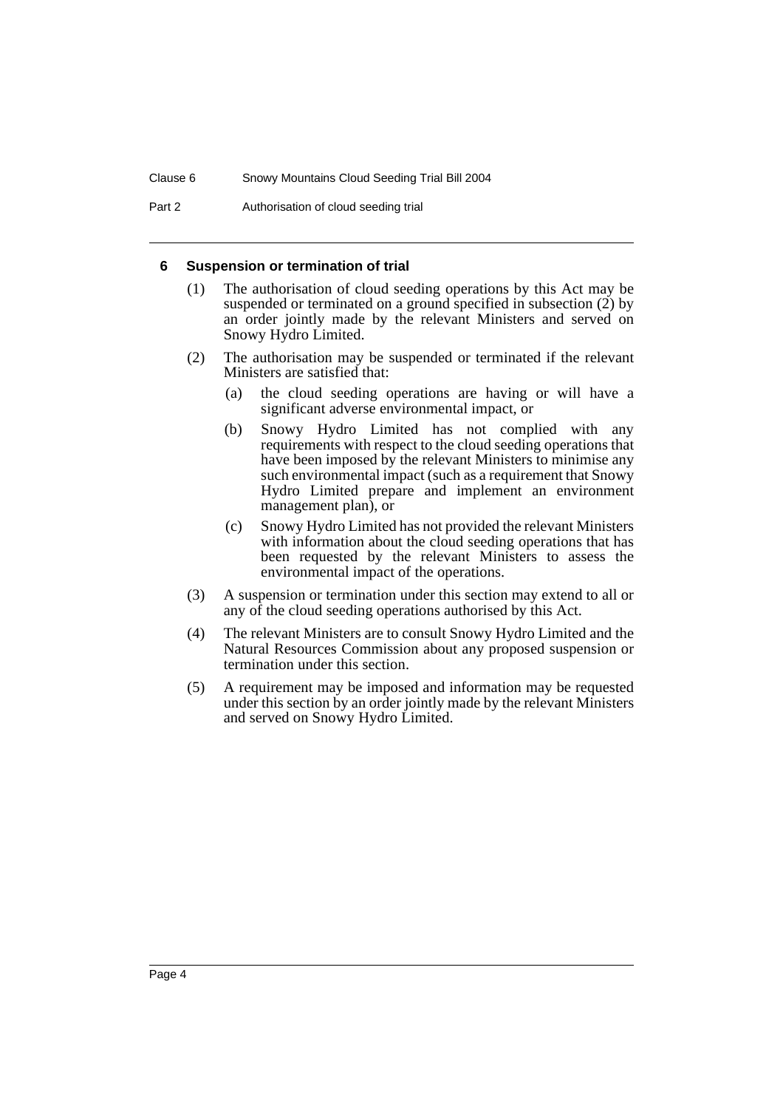Part 2 **Authorisation of cloud seeding trial** 

#### **6 Suspension or termination of trial**

- (1) The authorisation of cloud seeding operations by this Act may be suspended or terminated on a ground specified in subsection (2) by an order jointly made by the relevant Ministers and served on Snowy Hydro Limited.
- (2) The authorisation may be suspended or terminated if the relevant Ministers are satisfied that:
	- (a) the cloud seeding operations are having or will have a significant adverse environmental impact, or
	- (b) Snowy Hydro Limited has not complied with any requirements with respect to the cloud seeding operations that have been imposed by the relevant Ministers to minimise any such environmental impact (such as a requirement that Snowy Hydro Limited prepare and implement an environment management plan), or
	- (c) Snowy Hydro Limited has not provided the relevant Ministers with information about the cloud seeding operations that has been requested by the relevant Ministers to assess the environmental impact of the operations.
- (3) A suspension or termination under this section may extend to all or any of the cloud seeding operations authorised by this Act.
- (4) The relevant Ministers are to consult Snowy Hydro Limited and the Natural Resources Commission about any proposed suspension or termination under this section.
- (5) A requirement may be imposed and information may be requested under this section by an order jointly made by the relevant Ministers and served on Snowy Hydro Limited.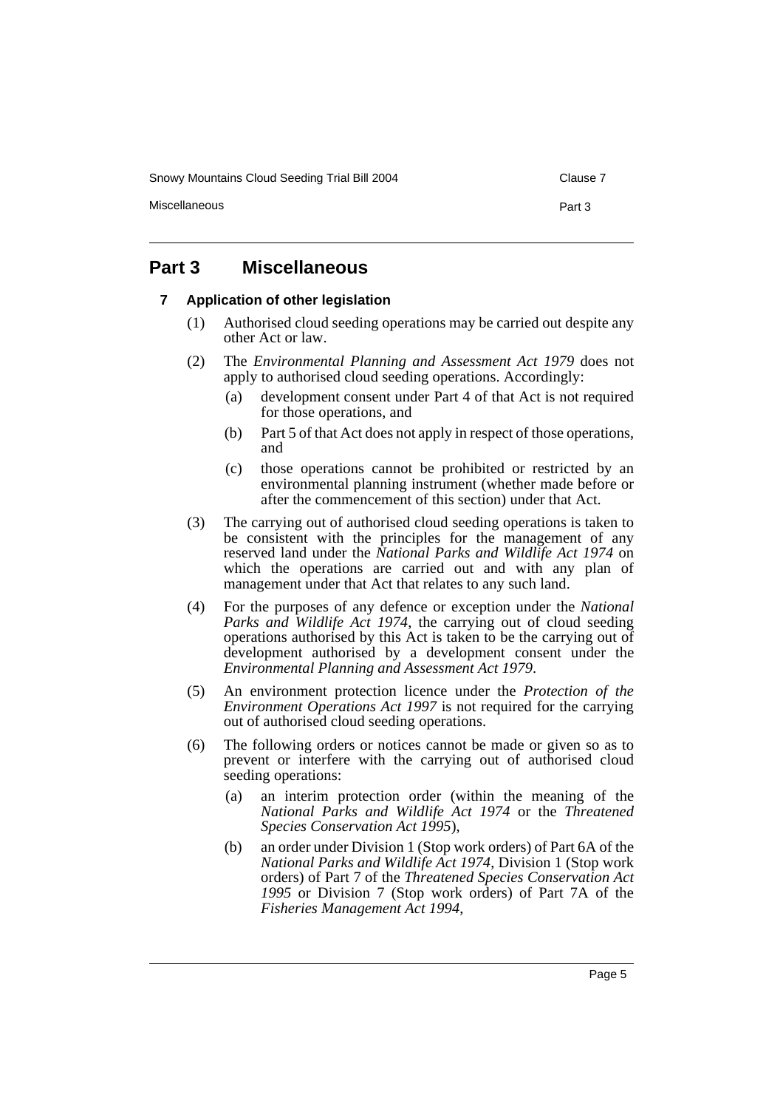Snowy Mountains Cloud Seeding Trial Bill 2004 Clause 7

Miscellaneous **Part 3** 

# **Part 3 Miscellaneous**

### **7 Application of other legislation**

- (1) Authorised cloud seeding operations may be carried out despite any other Act or law.
- (2) The *Environmental Planning and Assessment Act 1979* does not apply to authorised cloud seeding operations. Accordingly:
	- (a) development consent under Part 4 of that Act is not required for those operations, and
	- (b) Part 5 of that Act does not apply in respect of those operations, and
	- (c) those operations cannot be prohibited or restricted by an environmental planning instrument (whether made before or after the commencement of this section) under that Act.
- (3) The carrying out of authorised cloud seeding operations is taken to be consistent with the principles for the management of any reserved land under the *National Parks and Wildlife Act 1974* on which the operations are carried out and with any plan of management under that Act that relates to any such land.
- (4) For the purposes of any defence or exception under the *National Parks and Wildlife Act 1974*, the carrying out of cloud seeding operations authorised by this Act is taken to be the carrying out of development authorised by a development consent under the *Environmental Planning and Assessment Act 1979*.
- (5) An environment protection licence under the *Protection of the Environment Operations Act 1997* is not required for the carrying out of authorised cloud seeding operations.
- (6) The following orders or notices cannot be made or given so as to prevent or interfere with the carrying out of authorised cloud seeding operations:
	- (a) an interim protection order (within the meaning of the *National Parks and Wildlife Act 1974* or the *Threatened Species Conservation Act 1995*),
	- (b) an order under Division 1 (Stop work orders) of Part 6A of the *National Parks and Wildlife Act 1974*, Division 1 (Stop work orders) of Part 7 of the *Threatened Species Conservation Act 1995* or Division 7 (Stop work orders) of Part 7A of the *Fisheries Management Act 1994*,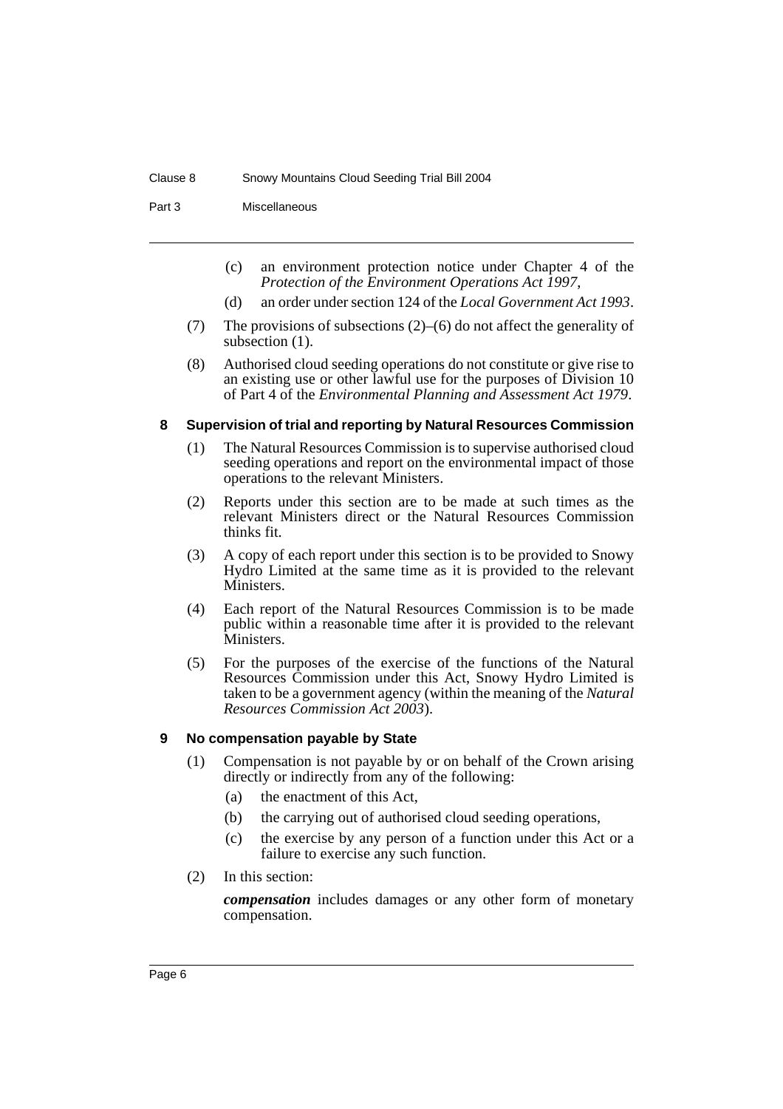Part 3 Miscellaneous

- (c) an environment protection notice under Chapter 4 of the *Protection of the Environment Operations Act 1997*,
- (d) an order under section 124 of the *Local Government Act 1993*.
- (7) The provisions of subsections (2)–(6) do not affect the generality of subsection (1).
- (8) Authorised cloud seeding operations do not constitute or give rise to an existing use or other lawful use for the purposes of Division 10 of Part 4 of the *Environmental Planning and Assessment Act 1979*.

#### **8 Supervision of trial and reporting by Natural Resources Commission**

- (1) The Natural Resources Commission is to supervise authorised cloud seeding operations and report on the environmental impact of those operations to the relevant Ministers.
- (2) Reports under this section are to be made at such times as the relevant Ministers direct or the Natural Resources Commission thinks fit.
- (3) A copy of each report under this section is to be provided to Snowy Hydro Limited at the same time as it is provided to the relevant Ministers.
- (4) Each report of the Natural Resources Commission is to be made public within a reasonable time after it is provided to the relevant Ministers.
- (5) For the purposes of the exercise of the functions of the Natural Resources Commission under this Act, Snowy Hydro Limited is taken to be a government agency (within the meaning of the *Natural Resources Commission Act 2003*).

### **9 No compensation payable by State**

- (1) Compensation is not payable by or on behalf of the Crown arising directly or indirectly from any of the following:
	- (a) the enactment of this Act,
	- (b) the carrying out of authorised cloud seeding operations,
	- (c) the exercise by any person of a function under this Act or a failure to exercise any such function.
- (2) In this section:

*compensation* includes damages or any other form of monetary compensation.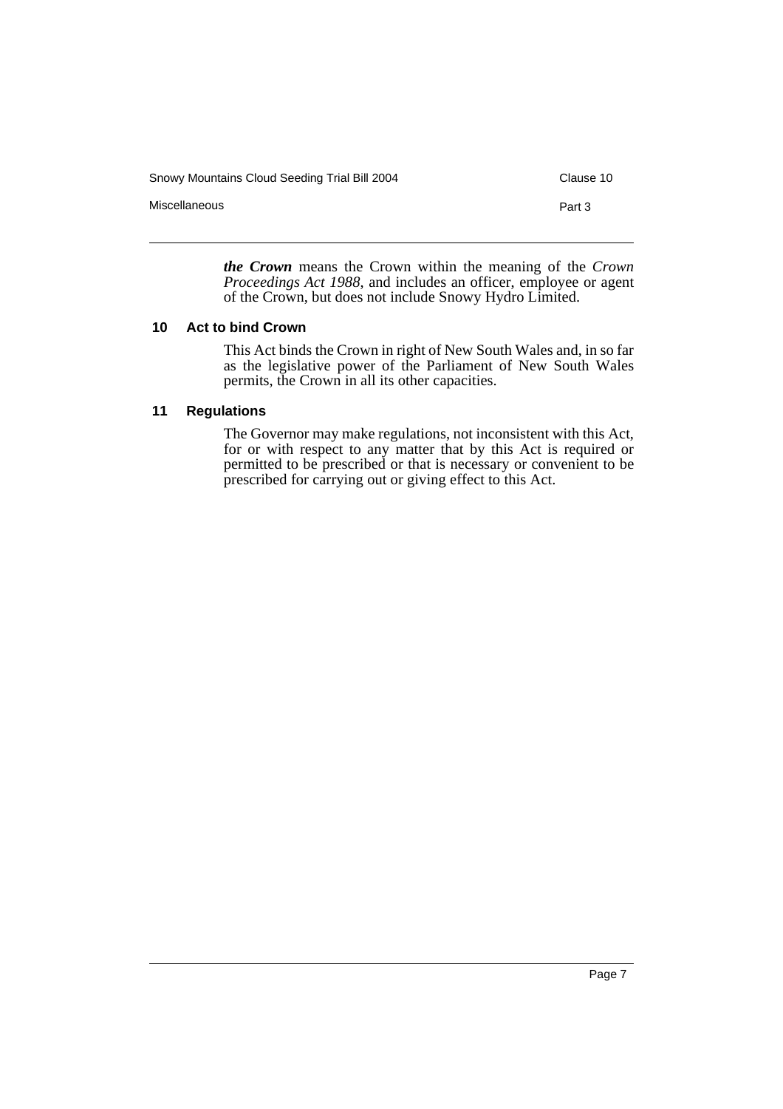Snowy Mountains Cloud Seeding Trial Bill 2004 Clause 10 Miscellaneous **Part 3** 

> *the Crown* means the Crown within the meaning of the *Crown Proceedings Act 1988*, and includes an officer, employee or agent of the Crown, but does not include Snowy Hydro Limited.

### **10 Act to bind Crown**

This Act binds the Crown in right of New South Wales and, in so far as the legislative power of the Parliament of New South Wales permits, the Crown in all its other capacities.

### **11 Regulations**

The Governor may make regulations, not inconsistent with this Act, for or with respect to any matter that by this Act is required or permitted to be prescribed or that is necessary or convenient to be prescribed for carrying out or giving effect to this Act.